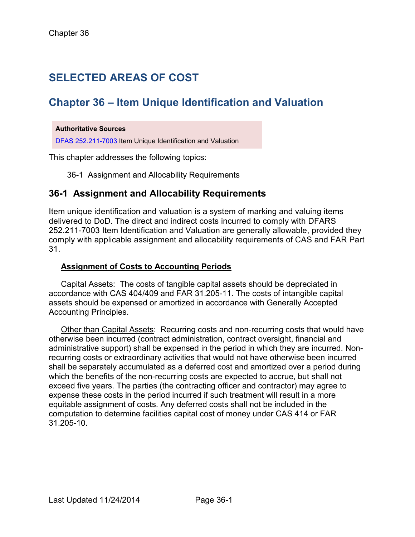# **SELECTED AREAS OF COST**

## **Chapter 36 – Item Unique Identification and Valuation**

#### **Authoritative Sources**

[DFAS 252.211-7003](http://www.ecfr.gov/cgi-bin/text-idx?SID=4a9886419783046a66c12d589e26ae76&node=se48.3.252_1211_67003&rgn=div8) Item Unique Identification and Valuation

This chapter addresses the following topics:

36-1 Assignment and Allocability Requirements

### **36-1 Assignment and Allocability Requirements**

Item unique identification and valuation is a system of marking and valuing items delivered to DoD. The direct and indirect costs incurred to comply with DFARS 252.211-7003 Item Identification and Valuation are generally allowable, provided they comply with applicable assignment and allocability requirements of CAS and FAR Part 31.

#### **Assignment of Costs to Accounting Periods**

Capital Assets: The costs of tangible capital assets should be depreciated in accordance with CAS 404/409 and FAR 31.205-11. The costs of intangible capital assets should be expensed or amortized in accordance with Generally Accepted Accounting Principles.

Other than Capital Assets: Recurring costs and non-recurring costs that would have otherwise been incurred (contract administration, contract oversight, financial and administrative support) shall be expensed in the period in which they are incurred. Nonrecurring costs or extraordinary activities that would not have otherwise been incurred shall be separately accumulated as a deferred cost and amortized over a period during which the benefits of the non-recurring costs are expected to accrue, but shall not exceed five years. The parties (the contracting officer and contractor) may agree to expense these costs in the period incurred if such treatment will result in a more equitable assignment of costs. Any deferred costs shall not be included in the computation to determine facilities capital cost of money under CAS 414 or FAR 31.205-10.